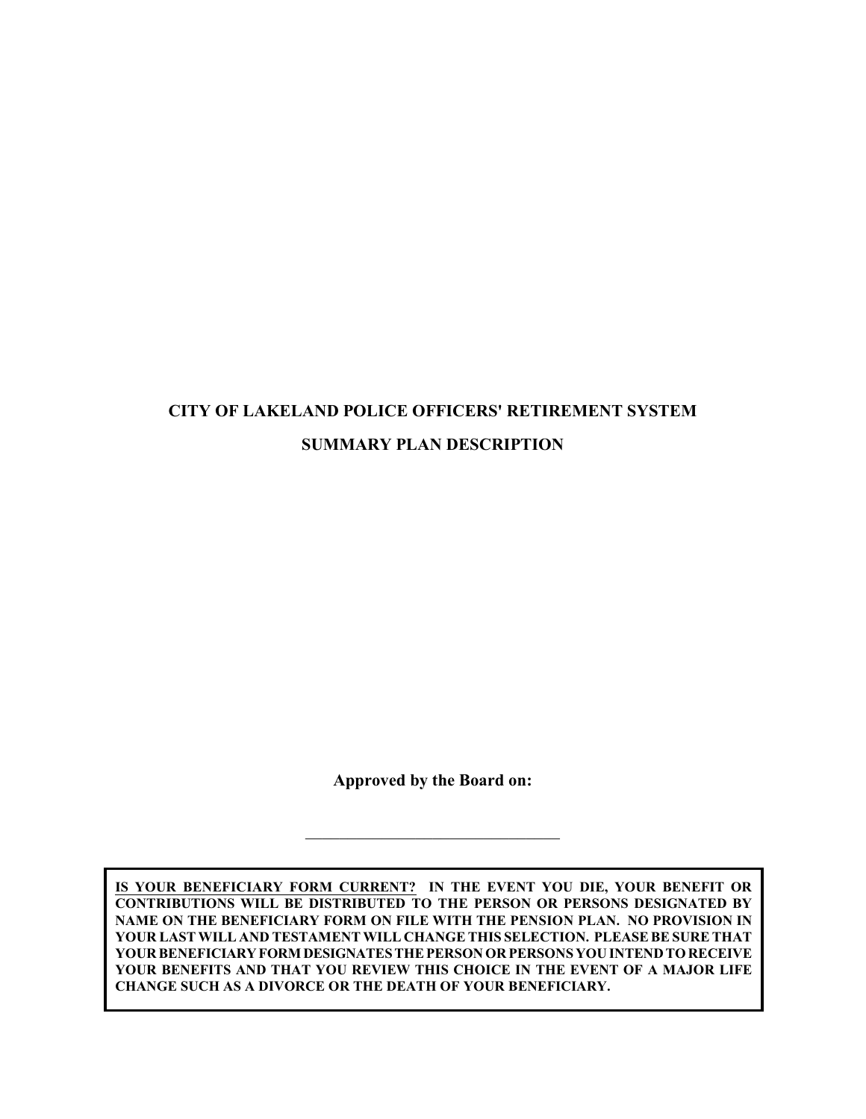# **CITY OF LAKELAND POLICE OFFICERS' RETIREMENT SYSTEM SUMMARY PLAN DESCRIPTION**

**Approved by the Board on:**

\_\_\_\_\_\_\_\_\_\_\_\_\_\_\_\_\_\_\_\_\_\_\_\_\_\_\_\_\_\_

**IS YOUR BENEFICIARY FORM CURRENT? IN THE EVENT YOU DIE, YOUR BENEFIT OR CONTRIBUTIONS WILL BE DISTRIBUTED TO THE PERSON OR PERSONS DESIGNATED BY NAME ON THE BENEFICIARY FORM ON FILE WITH THE PENSION PLAN. NO PROVISION IN YOUR LAST WILL AND TESTAMENT WILL CHANGE THIS SELECTION. PLEASEBE SURE THAT YOUR BENEFICIARYFORM DESIGNATESTHE PERSON OR PERSONS YOU INTEND TO RECEIVE YOUR BENEFITS AND THAT YOU REVIEW THIS CHOICE IN THE EVENT OF A MAJOR LIFE CHANGE SUCH AS A DIVORCE OR THE DEATH OF YOUR BENEFICIARY.**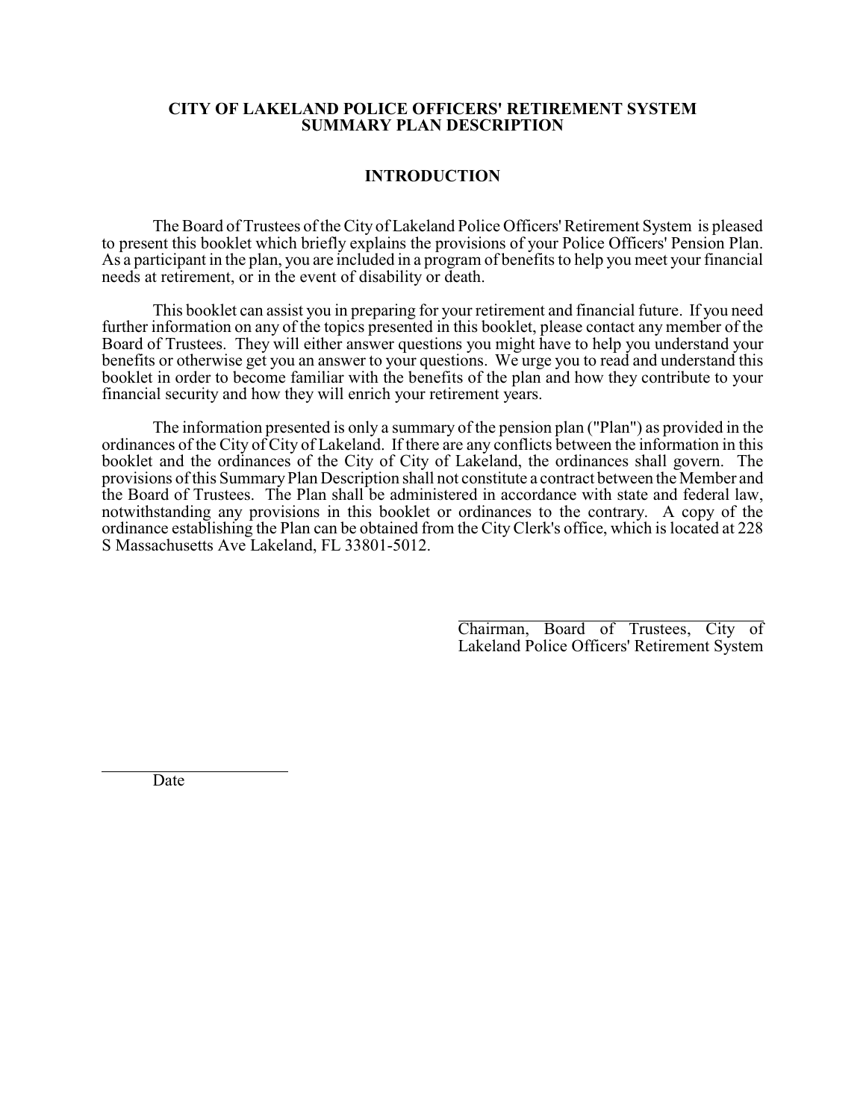#### **CITY OF LAKELAND POLICE OFFICERS' RETIREMENT SYSTEM SUMMARY PLAN DESCRIPTION**

#### **INTRODUCTION**

The Board of Trustees of the City of Lakeland Police Officers'Retirement System is pleased to present this booklet which briefly explains the provisions of your Police Officers' Pension Plan. As a participant in the plan, you are included in a program of benefits to help you meet your financial needs at retirement, or in the event of disability or death.

This booklet can assist you in preparing for your retirement and financial future. If you need further information on any of the topics presented in this booklet, please contact any member of the Board of Trustees. They will either answer questions you might have to help you understand your benefits or otherwise get you an answer to your questions. We urge you to read and understand this booklet in order to become familiar with the benefits of the plan and how they contribute to your financial security and how they will enrich your retirement years.

The information presented is only a summary of the pension plan ("Plan") as provided in the ordinances of the City of City of Lakeland. If there are any conflicts between the information in this booklet and the ordinances of the City of City of Lakeland, the ordinances shall govern. The provisions of this SummaryPlan Description shall not constitute a contract between the Member and the Board of Trustees. The Plan shall be administered in accordance with state and federal law, notwithstanding any provisions in this booklet or ordinances to the contrary. A copy of the ordinance establishing the Plan can be obtained from the CityClerk's office, which is located at 228 S Massachusetts Ave Lakeland, FL 33801-5012.

> $\overline{a}$ Chairman, Board of Trustees, City of Lakeland Police Officers' Retirement System

Date

 $\overline{a}$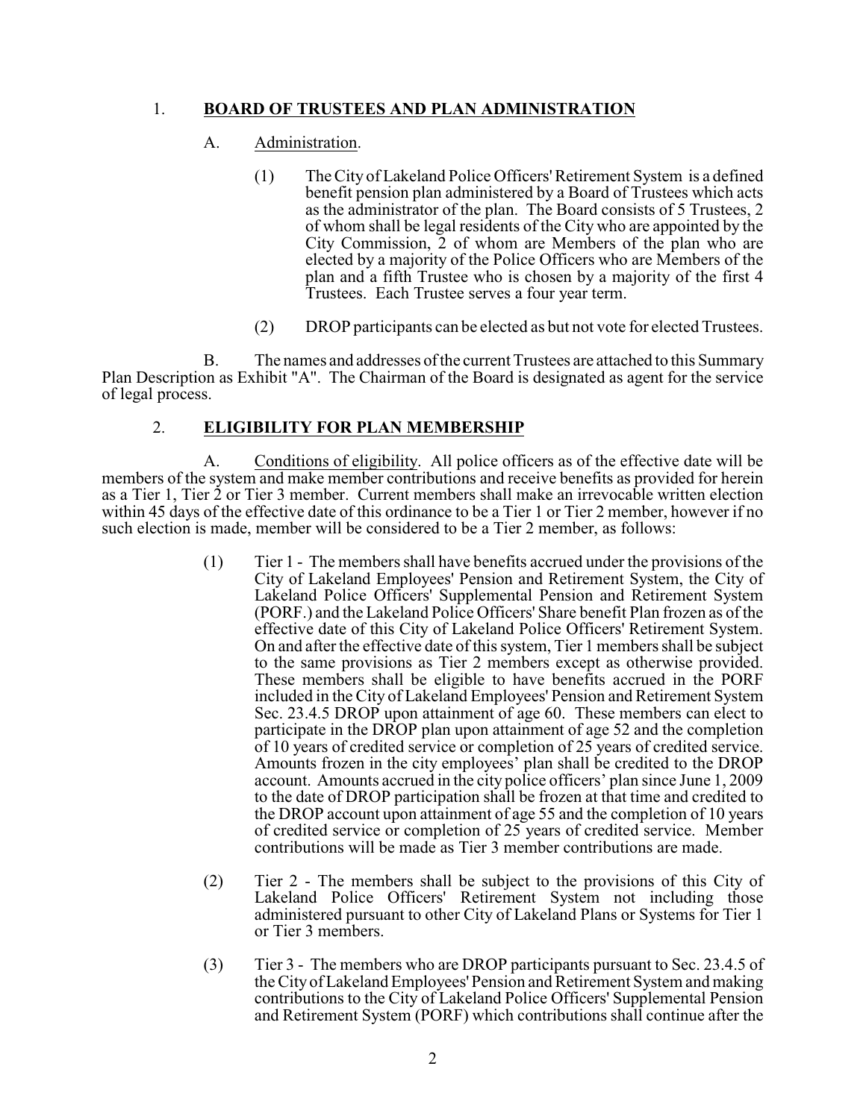## 1. **BOARD OF TRUSTEES AND PLAN ADMINISTRATION**

## A. Administration.

- (1) The City of Lakeland Police Officers'Retirement System is a defined benefit pension plan administered by a Board of Trustees which acts as the administrator of the plan. The Board consists of 5 Trustees, 2 of whom shall be legal residents of the City who are appointed by the City Commission, 2 of whom are Members of the plan who are elected by a majority of the Police Officers who are Members of the plan and a fifth Trustee who is chosen by a majority of the first 4 Trustees. Each Trustee serves a four year term.
- (2) DROP participants can be elected as but not vote for elected Trustees.

B. The names and addresses ofthe current Trustees are attached to this Summary Plan Description as Exhibit "A". The Chairman of the Board is designated as agent for the service of legal process.

## 2. **ELIGIBILITY FOR PLAN MEMBERSHIP**

A. Conditions of eligibility. All police officers as of the effective date will be members of the system and make member contributions and receive benefits as provided for herein as a Tier 1, Tier 2 or Tier 3 member. Current members shall make an irrevocable written election within 45 days of the effective date of this ordinance to be a Tier 1 or Tier 2 member, however if no such election is made, member will be considered to be a Tier 2 member, as follows:

- (1) Tier 1 The members shall have benefits accrued under the provisions of the City of Lakeland Employees' Pension and Retirement System, the City of Lakeland Police Officers' Supplemental Pension and Retirement System (PORF.) and the Lakeland Police Officers' Share benefit Plan frozen as of the effective date of this City of Lakeland Police Officers' Retirement System. On and after the effective date of this system, Tier 1 members shall be subject to the same provisions as Tier 2 members except as otherwise provided. These members shall be eligible to have benefits accrued in the PORF included in the City of Lakeland Employees' Pension and Retirement System Sec. 23.4.5 DROP upon attainment of age 60. These members can elect to participate in the DROP plan upon attainment of age 52 and the completion of 10 years of credited service or completion of 25 years of credited service. Amounts frozen in the city employees' plan shall be credited to the DROP account. Amounts accrued in the city police officers' plan since June 1, 2009 to the date of DROP participation shall be frozen at that time and credited to the DROP account upon attainment of age 55 and the completion of 10 years of credited service or completion of 25 years of credited service. Member contributions will be made as Tier 3 member contributions are made.
- (2) Tier 2 The members shall be subject to the provisions of this City of Lakeland Police Officers' Retirement System not including those administered pursuant to other City of Lakeland Plans or Systems for Tier 1 or Tier 3 members.
- (3) Tier 3 The members who are DROP participants pursuant to Sec. 23.4.5 of the City of Lakeland Employees' Pension and Retirement System and making contributions to the City of Lakeland Police Officers' Supplemental Pension and Retirement System (PORF) which contributions shall continue after the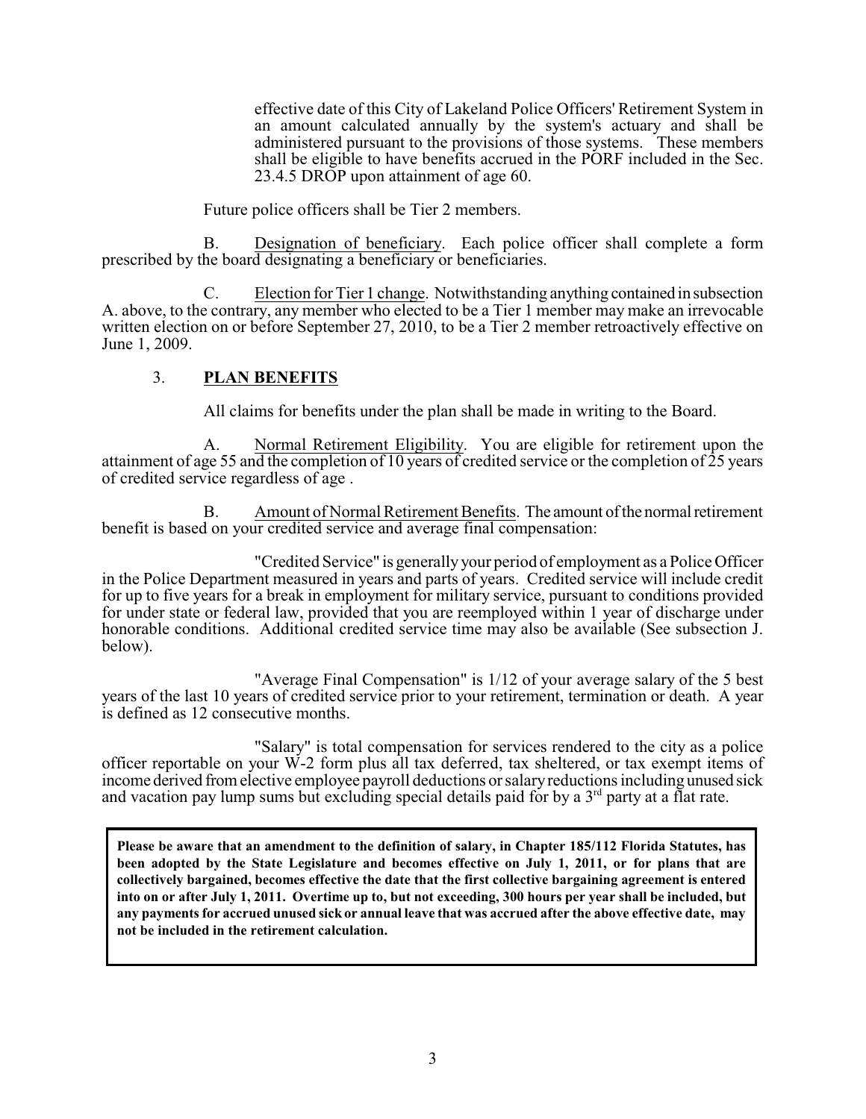effective date of this City of Lakeland Police Officers' Retirement System in an amount calculated annually by the system's actuary and shall be administered pursuant to the provisions of those systems. These members shall be eligible to have benefits accrued in the PORF included in the Sec. 23.4.5 DROP upon attainment of age 60.

Future police officers shall be Tier 2 members.

B. Designation of beneficiary. Each police officer shall complete a form prescribed by the board designating a beneficiary or beneficiaries.

C. Election for Tier 1 change. Notwithstanding anything contained in subsection A. above, to the contrary, any member who elected to be a Tier 1 member may make an irrevocable written election on or before September 27, 2010, to be a Tier 2 member retroactively effective on June 1, 2009.

### 3. **PLAN BENEFITS**

All claims for benefits under the plan shall be made in writing to the Board.

A. Normal Retirement Eligibility. You are eligible for retirement upon the attainment of age 55 and the completion of 10 years of credited service or the completion of 25 years of credited service regardless of age .

B. Amount of Normal Retirement Benefits. The amount ofthe normal retirement benefit is based on your credited service and average final compensation:

"Credited Service" is generallyyour period of employment as a Police Officer in the Police Department measured in years and parts of years. Credited service will include credit for up to five years for a break in employment for military service, pursuant to conditions provided for under state or federal law, provided that you are reemployed within 1 year of discharge under honorable conditions. Additional credited service time may also be available (See subsection J. below).

"Average Final Compensation" is 1/12 of your average salary of the 5 best years of the last 10 years of credited service prior to your retirement, termination or death. A year is defined as 12 consecutive months.

"Salary" is total compensation for services rendered to the city as a police officer reportable on your W-2 form plus all tax deferred, tax sheltered, or tax exempt items of income derived from elective employee payroll deductions or salaryreductions including unused sick and vacation pay lump sums but excluding special details paid for by a  $3<sup>rd</sup>$  party at a flat rate.

**Please be aware that an amendment to the definition of salary, in Chapter 185/112 Florida Statutes, has been adopted by the State Legislature and becomes effective on July 1, 2011, or for plans that are collectively bargained, becomes effective the date that the first collective bargaining agreement is entered into on or after July 1, 2011. Overtime up to, but not exceeding, 300 hours per year shall be included, but any payments for accrued unused sick or annual leave that was accrued after the above effective date, may not be included in the retirement calculation.**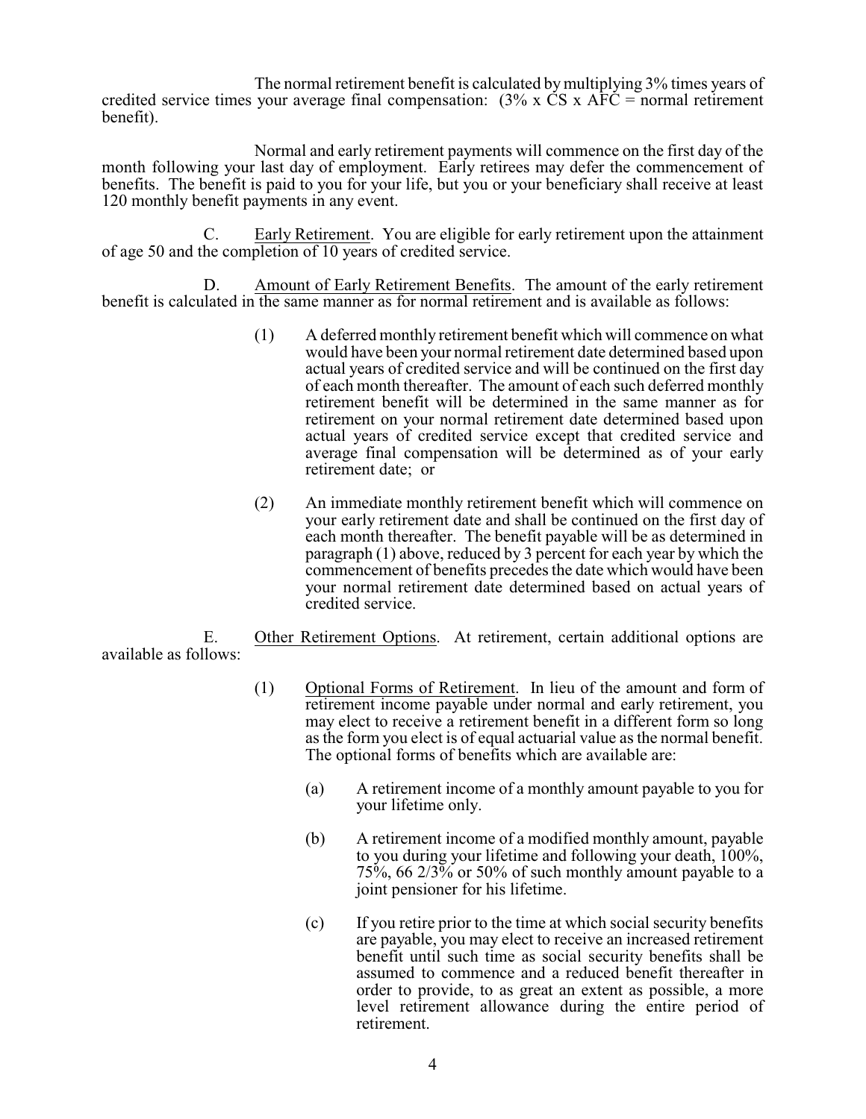The normal retirement benefit is calculated by multiplying 3% times years of credited service times your average final compensation:  $(3\% \times \text{CS} \times \text{AFC} = \text{normal retirement})$ benefit).

Normal and early retirement payments will commence on the first day of the month following your last day of employment. Early retirees may defer the commencement of benefits. The benefit is paid to you for your life, but you or your beneficiary shall receive at least 120 monthly benefit payments in any event.

C. Early Retirement. You are eligible for early retirement upon the attainment of age 50 and the completion of 10 years of credited service.

D. Amount of Early Retirement Benefits. The amount of the early retirement benefit is calculated in the same manner as for normal retirement and is available as follows:

- (1) A deferred monthly retirement benefit which will commence on what would have been your normal retirement date determined based upon actual years of credited service and will be continued on the first day of each month thereafter. The amount of each such deferred monthly retirement benefit will be determined in the same manner as for retirement on your normal retirement date determined based upon actual years of credited service except that credited service and average final compensation will be determined as of your early retirement date; or
- (2) An immediate monthly retirement benefit which will commence on your early retirement date and shall be continued on the first day of each month thereafter. The benefit payable will be as determined in paragraph (1) above, reduced by 3 percent for each year by which the commencement of benefits precedes the date which would have been your normal retirement date determined based on actual years of credited service.

E. Other Retirement Options. At retirement, certain additional options are available as follows:

- (1) Optional Forms of Retirement. In lieu of the amount and form of retirement income payable under normal and early retirement, you may elect to receive a retirement benefit in a different form so long as the form you elect is of equal actuarial value as the normal benefit. The optional forms of benefits which are available are:
	- (a) A retirement income of a monthly amount payable to you for your lifetime only.
	- (b) A retirement income of a modified monthly amount, payable to you during your lifetime and following your death, 100%,  $75\%$ , 66  $2/3\%$  or 50% of such monthly amount payable to a joint pensioner for his lifetime.
	- (c) If you retire prior to the time at which social security benefits are payable, you may elect to receive an increased retirement benefit until such time as social security benefits shall be assumed to commence and a reduced benefit thereafter in order to provide, to as great an extent as possible, a more level retirement allowance during the entire period of retirement.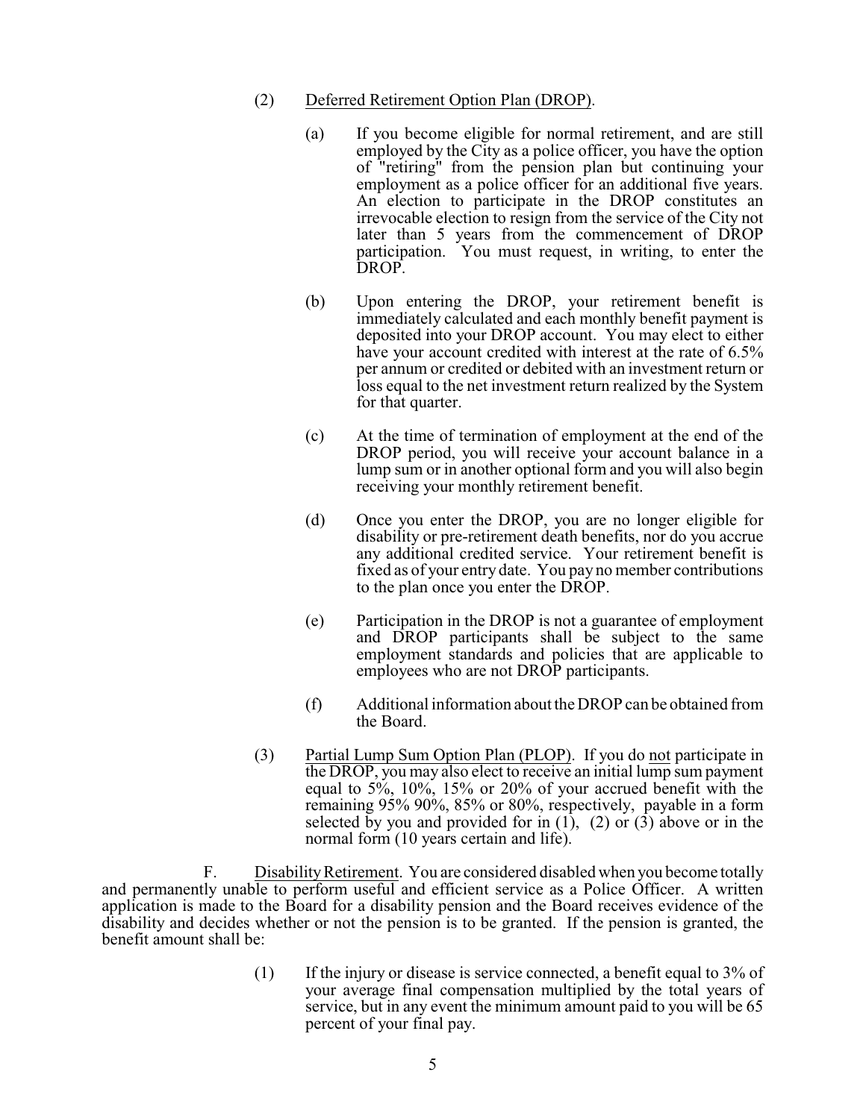- (2) Deferred Retirement Option Plan (DROP).
	- (a) If you become eligible for normal retirement, and are still employed by the City as a police officer, you have the option of "retiring" from the pension plan but continuing your employment as a police officer for an additional five years. An election to participate in the DROP constitutes an irrevocable election to resign from the service of the City not later than 5 years from the commencement of DROP participation. You must request, in writing, to enter the DROP.
	- (b) Upon entering the DROP, your retirement benefit is immediately calculated and each monthly benefit payment is deposited into your DROP account. You may elect to either have your account credited with interest at the rate of 6.5% per annum or credited or debited with an investment return or loss equal to the net investment return realized by the System for that quarter.
	- (c) At the time of termination of employment at the end of the DROP period, you will receive your account balance in a lump sum or in another optional form and you will also begin receiving your monthly retirement benefit.
	- (d) Once you enter the DROP, you are no longer eligible for disability or pre-retirement death benefits, nor do you accrue any additional credited service. Your retirement benefit is fixed as of your entry date. You pay no member contributions to the plan once you enter the DROP.
	- (e) Participation in the DROP is not a guarantee of employment and DROP participants shall be subject to the same employment standards and policies that are applicable to employees who are not DROP participants.
	- (f) Additional information about theDROP can be obtained from the Board.
- (3) Partial Lump Sum Option Plan (PLOP). If you do not participate in the DROP, you may also elect to receive an initial lump sum payment equal to 5%, 10%, 15% or 20% of your accrued benefit with the remaining 95% 90%, 85% or 80%, respectively, payable in a form selected by you and provided for in  $(1)$ ,  $(2)$  or  $(3)$  above or in the normal form (10 years certain and life).

F. DisabilityRetirement. You are considered disabled when you become totally and permanently unable to perform useful and efficient service as a Police Officer. A written application is made to the Board for a disability pension and the Board receives evidence of the disability and decides whether or not the pension is to be granted. If the pension is granted, the benefit amount shall be:

> (1) If the injury or disease is service connected, a benefit equal to  $3\%$  of your average final compensation multiplied by the total years of service, but in any event the minimum amount paid to you will be 65 percent of your final pay.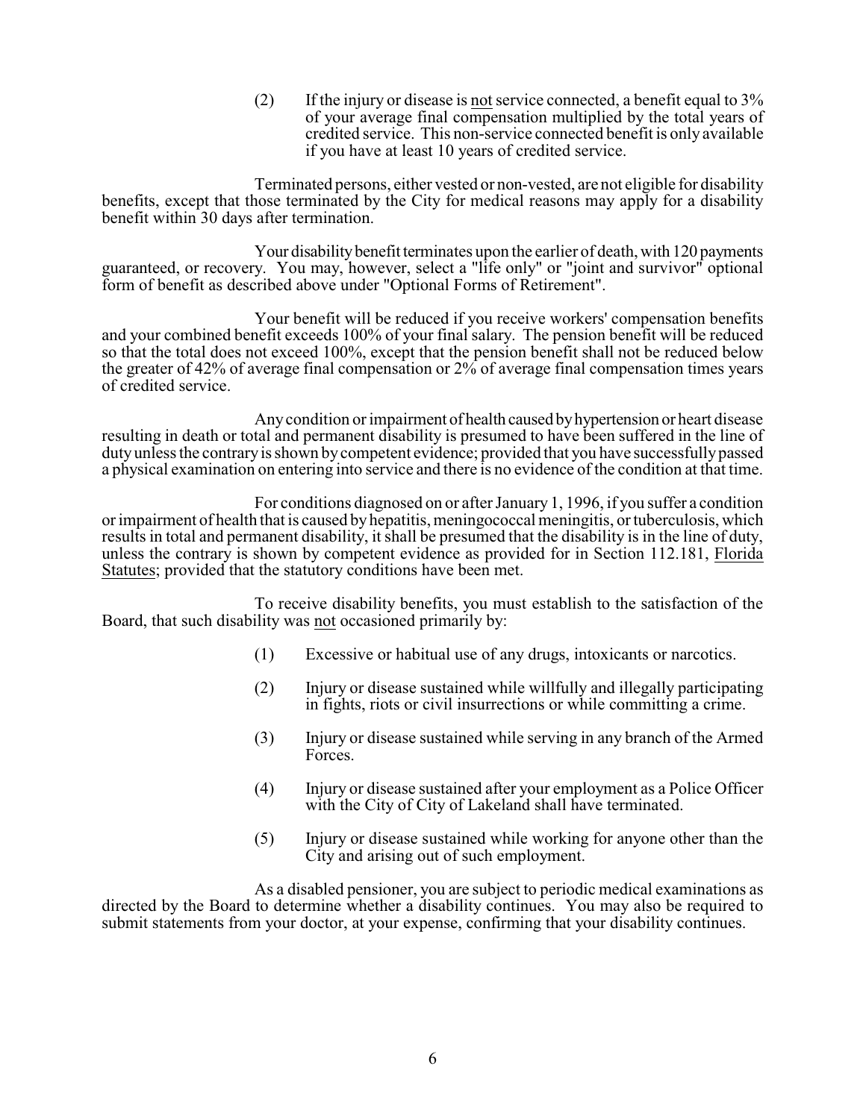(2) If the injury or disease is not service connected, a benefit equal to  $3\%$ of your average final compensation multiplied by the total years of credited service. This non-service connected benefit is only available if you have at least 10 years of credited service.

Terminated persons, either vested or non-vested, are not eligible for disability benefits, except that those terminated by the City for medical reasons may apply for a disability benefit within 30 days after termination.

Your disability benefit terminates upon the earlier of death, with 120 payments guaranteed, or recovery. You may, however, select a "life only" or "joint and survivor" optional form of benefit as described above under "Optional Forms of Retirement".

Your benefit will be reduced if you receive workers' compensation benefits and your combined benefit exceeds 100% of your final salary. The pension benefit will be reduced so that the total does not exceed 100%, except that the pension benefit shall not be reduced below the greater of 42% of average final compensation or 2% of average final compensation times years of credited service.

Anycondition or impairment of health caused byhypertension or heart disease resulting in death or total and permanent disability is presumed to have been suffered in the line of dutyunless the contraryis shown bycompetent evidence; provided that you have successfullypassed a physical examination on entering into service and there is no evidence of the condition at that time.

For conditions diagnosed on or after January 1, 1996, if you suffer a condition or impairment of health that is caused byhepatitis, meningococcal meningitis, or tuberculosis, which results in total and permanent disability, it shall be presumed that the disability is in the line of duty, unless the contrary is shown by competent evidence as provided for in Section 112.181, Florida Statutes; provided that the statutory conditions have been met.

To receive disability benefits, you must establish to the satisfaction of the Board, that such disability was not occasioned primarily by:

- (1) Excessive or habitual use of any drugs, intoxicants or narcotics.
- (2) Injury or disease sustained while willfully and illegally participating in fights, riots or civil insurrections or while committing a crime.
- (3) Injury or disease sustained while serving in any branch of the Armed Forces.
- (4) Injury or disease sustained after your employment as a Police Officer with the City of City of Lakeland shall have terminated.
- (5) Injury or disease sustained while working for anyone other than the City and arising out of such employment.

As a disabled pensioner, you are subject to periodic medical examinations as directed by the Board to determine whether a disability continues. You may also be required to submit statements from your doctor, at your expense, confirming that your disability continues.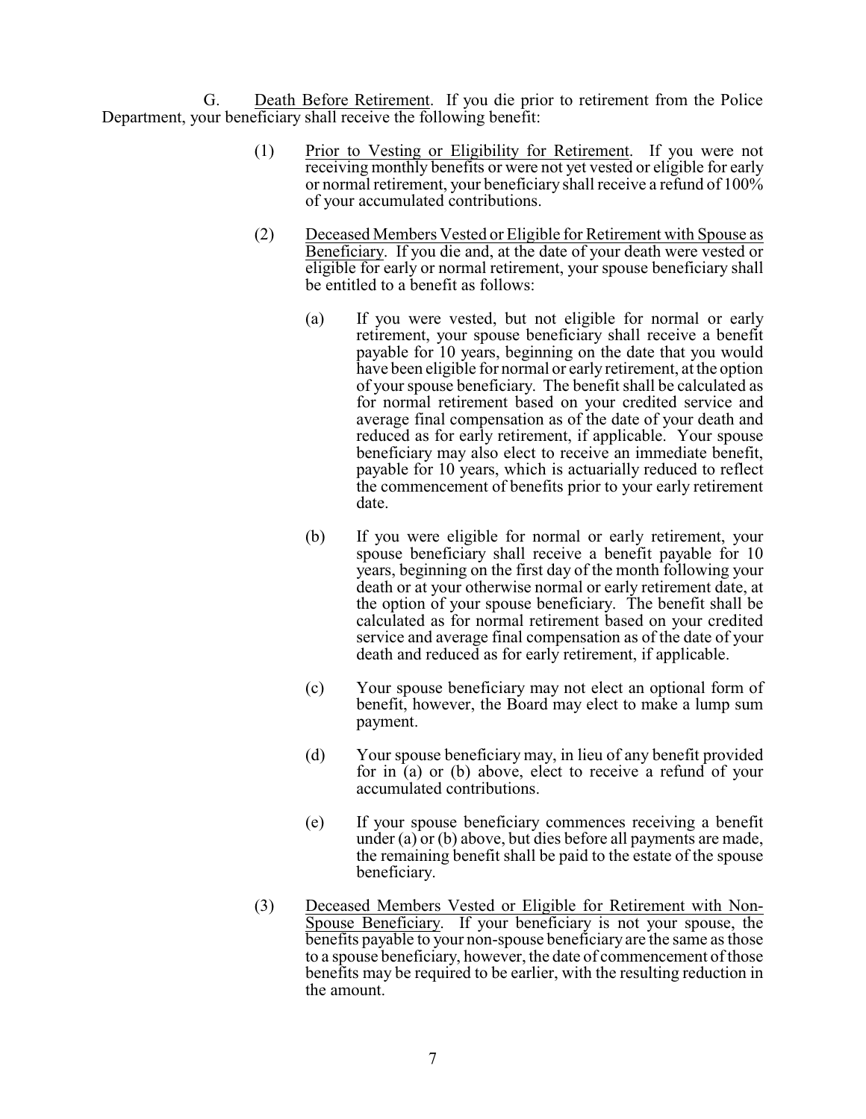G. Death Before Retirement. If you die prior to retirement from the Police Department, your beneficiary shall receive the following benefit:

- (1) Prior to Vesting or Eligibility for Retirement. If you were not receiving monthly benefits or were not yet vested or eligible for early or normal retirement, your beneficiary shall receive a refund of 100% of your accumulated contributions.
- (2) Deceased Members Vested or Eligible for Retirement with Spouse as Beneficiary. If you die and, at the date of your death were vested or eligible for early or normal retirement, your spouse beneficiary shall be entitled to a benefit as follows:
	- (a) If you were vested, but not eligible for normal or early retirement, your spouse beneficiary shall receive a benefit payable for 10 years, beginning on the date that you would have been eligible for normal or early retirement, at the option of your spouse beneficiary. The benefit shall be calculated as for normal retirement based on your credited service and average final compensation as of the date of your death and reduced as for early retirement, if applicable. Your spouse beneficiary may also elect to receive an immediate benefit, payable for 10 years, which is actuarially reduced to reflect the commencement of benefits prior to your early retirement date.
	- (b) If you were eligible for normal or early retirement, your spouse beneficiary shall receive a benefit payable for 10 years, beginning on the first day of the month following your death or at your otherwise normal or early retirement date, at the option of your spouse beneficiary. The benefit shall be calculated as for normal retirement based on your credited service and average final compensation as of the date of your death and reduced as for early retirement, if applicable.
	- (c) Your spouse beneficiary may not elect an optional form of benefit, however, the Board may elect to make a lump sum payment.
	- (d) Your spouse beneficiary may, in lieu of any benefit provided for in (a) or (b) above, elect to receive a refund of your accumulated contributions.
	- (e) If your spouse beneficiary commences receiving a benefit under (a) or (b) above, but dies before all payments are made, the remaining benefit shall be paid to the estate of the spouse beneficiary.
- (3) Deceased Members Vested or Eligible for Retirement with Non-Spouse Beneficiary. If your beneficiary is not your spouse, the benefits payable to your non-spouse beneficiary are the same as those to a spouse beneficiary, however, the date of commencement of those benefits may be required to be earlier, with the resulting reduction in the amount.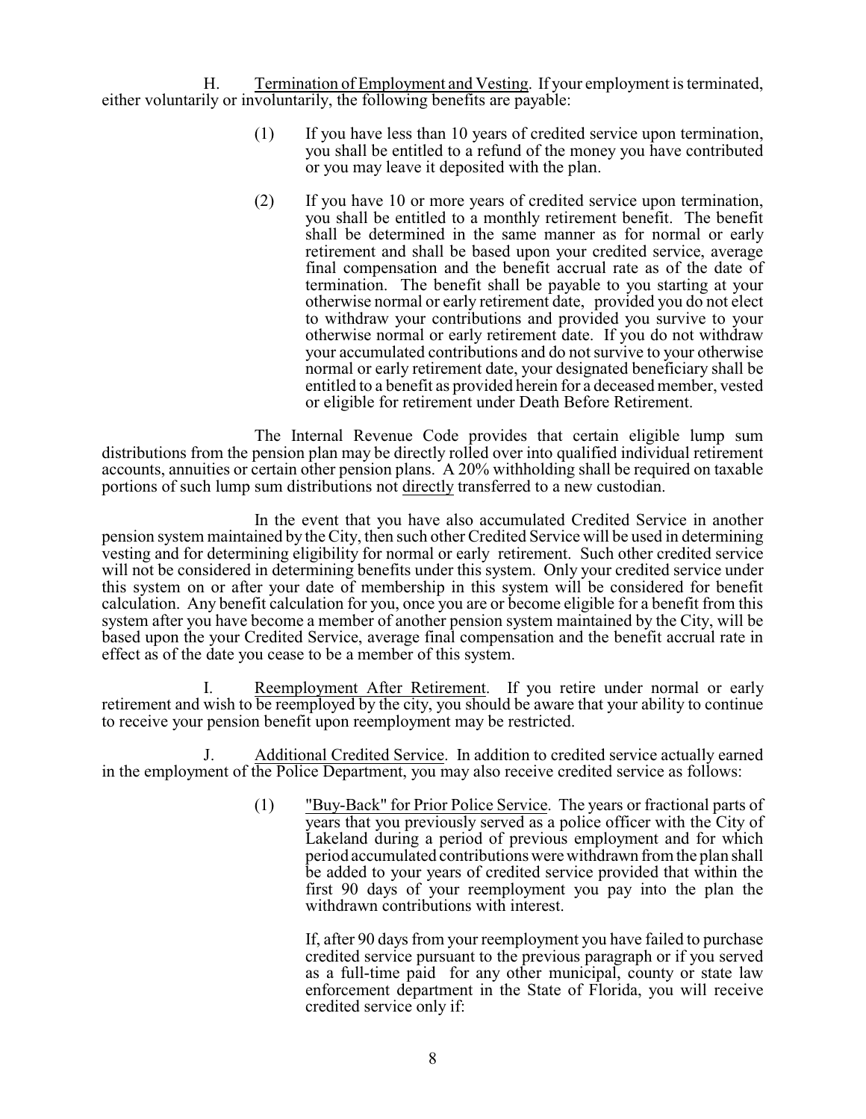H. Termination of Employment and Vesting. If your employment is terminated, either voluntarily or involuntarily, the following benefits are payable:

- (1) If you have less than 10 years of credited service upon termination, you shall be entitled to a refund of the money you have contributed or you may leave it deposited with the plan.
- (2) If you have 10 or more years of credited service upon termination, you shall be entitled to a monthly retirement benefit. The benefit shall be determined in the same manner as for normal or early retirement and shall be based upon your credited service, average final compensation and the benefit accrual rate as of the date of termination. The benefit shall be payable to you starting at your otherwise normal or early retirement date, provided you do not elect to withdraw your contributions and provided you survive to your otherwise normal or early retirement date. If you do not withdraw your accumulated contributions and do not survive to your otherwise normal or early retirement date, your designated beneficiary shall be entitled to a benefit as provided herein for a deceased member, vested or eligible for retirement under Death Before Retirement.

The Internal Revenue Code provides that certain eligible lump sum distributions from the pension plan may be directly rolled over into qualified individual retirement accounts, annuities or certain other pension plans. A 20% withholding shall be required on taxable portions of such lump sum distributions not directly transferred to a new custodian.

In the event that you have also accumulated Credited Service in another pension system maintained by the City, then such other Credited Service will be used in determining vesting and for determining eligibility for normal or early retirement. Such other credited service will not be considered in determining benefits under this system. Only your credited service under this system on or after your date of membership in this system will be considered for benefit calculation. Any benefit calculation for you, once you are or become eligible for a benefit from this system after you have become a member of another pension system maintained by the City, will be based upon the your Credited Service, average final compensation and the benefit accrual rate in effect as of the date you cease to be a member of this system.

I. Reemployment After Retirement. If you retire under normal or early retirement and wish to be reemployed by the city, you should be aware that your ability to continue to receive your pension benefit upon reemployment may be restricted.

J. Additional Credited Service. In addition to credited service actually earned in the employment of the Police Department, you may also receive credited service as follows:

> (1) "Buy-Back" for Prior Police Service. The years or fractional parts of years that you previously served as a police officer with the City of Lakeland during a period of previous employment and for which period accumulated contributions were withdrawn from the plan shall be added to your years of credited service provided that within the first 90 days of your reemployment you pay into the plan the withdrawn contributions with interest.

If, after 90 days from your reemployment you have failed to purchase credited service pursuant to the previous paragraph or if you served as a full-time paid for any other municipal, county or state law enforcement department in the State of Florida, you will receive credited service only if: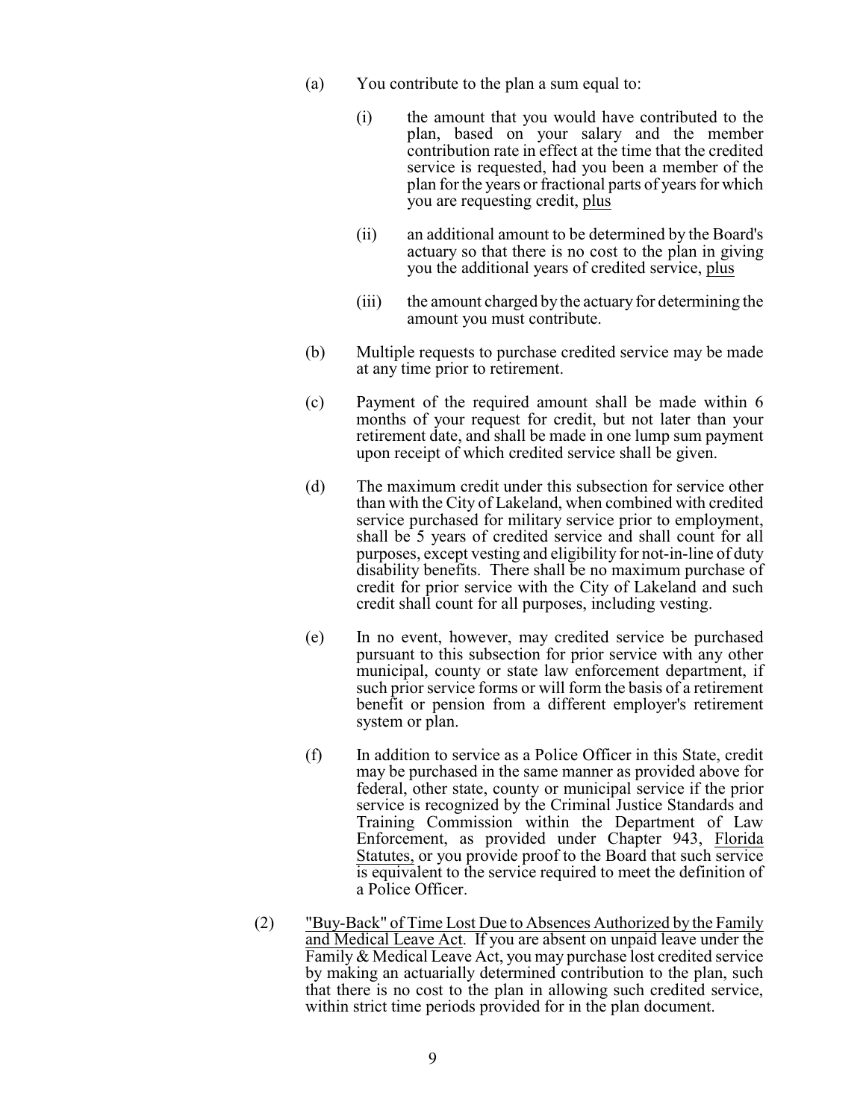- (a) You contribute to the plan a sum equal to:
	- (i) the amount that you would have contributed to the plan, based on your salary and the member contribution rate in effect at the time that the credited service is requested, had you been a member of the plan for the years or fractional parts of years for which you are requesting credit, plus
	- (ii) an additional amount to be determined by the Board's actuary so that there is no cost to the plan in giving you the additional years of credited service, plus
	- (iii) the amount charged by the actuary for determining the amount you must contribute.
- (b) Multiple requests to purchase credited service may be made at any time prior to retirement.
- (c) Payment of the required amount shall be made within 6 months of your request for credit, but not later than your retirement date, and shall be made in one lump sum payment upon receipt of which credited service shall be given.
- (d) The maximum credit under this subsection for service other than with the City of Lakeland, when combined with credited service purchased for military service prior to employment, shall be 5 years of credited service and shall count for all purposes, except vesting and eligibility for not-in-line of duty disability benefits. There shall be no maximum purchase of credit for prior service with the City of Lakeland and such credit shall count for all purposes, including vesting.
- (e) In no event, however, may credited service be purchased pursuant to this subsection for prior service with any other municipal, county or state law enforcement department, if such prior service forms or will form the basis of a retirement benefit or pension from a different employer's retirement system or plan.
- (f) In addition to service as a Police Officer in this State, credit may be purchased in the same manner as provided above for federal, other state, county or municipal service if the prior service is recognized by the Criminal Justice Standards and Training Commission within the Department of Law Enforcement, as provided under Chapter 943, Florida Statutes, or you provide proof to the Board that such service is equivalent to the service required to meet the definition of a Police Officer.
- (2) "Buy-Back" of Time Lost Due to Absences Authorized by the Family and Medical Leave Act. If you are absent on unpaid leave under the Family & Medical Leave Act, you may purchase lost credited service by making an actuarially determined contribution to the plan, such that there is no cost to the plan in allowing such credited service, within strict time periods provided for in the plan document.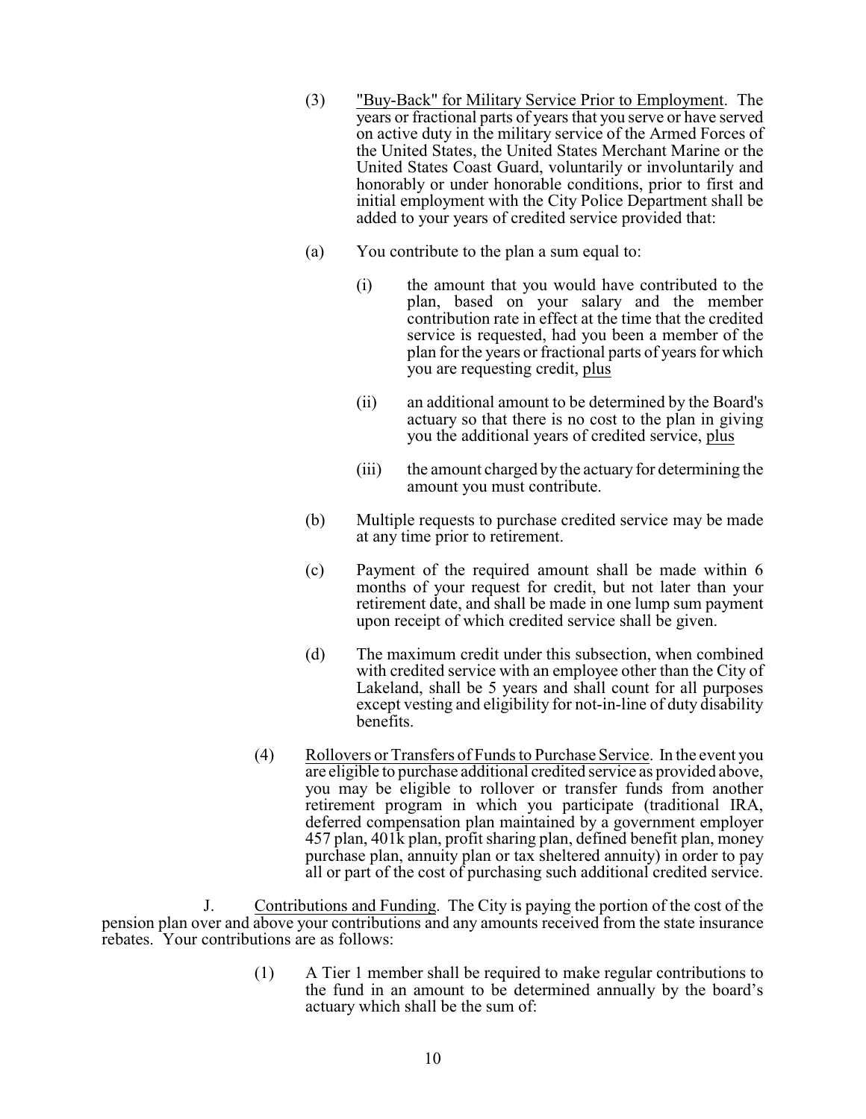- (3) "Buy-Back" for Military Service Prior to Employment. The years or fractional parts of years that you serve or have served on active duty in the military service of the Armed Forces of the United States, the United States Merchant Marine or the United States Coast Guard, voluntarily or involuntarily and honorably or under honorable conditions, prior to first and initial employment with the City Police Department shall be added to your years of credited service provided that:
- (a) You contribute to the plan a sum equal to:
	- (i) the amount that you would have contributed to the plan, based on your salary and the member contribution rate in effect at the time that the credited service is requested, had you been a member of the plan for the years or fractional parts of years for which you are requesting credit, plus
	- (ii) an additional amount to be determined by the Board's actuary so that there is no cost to the plan in giving you the additional years of credited service, plus
	- (iii) the amount charged by the actuary for determining the amount you must contribute.
- (b) Multiple requests to purchase credited service may be made at any time prior to retirement.
- (c) Payment of the required amount shall be made within 6 months of your request for credit, but not later than your retirement date, and shall be made in one lump sum payment upon receipt of which credited service shall be given.
- (d) The maximum credit under this subsection, when combined with credited service with an employee other than the City of Lakeland, shall be 5 years and shall count for all purposes except vesting and eligibility for not-in-line of duty disability benefits.
- (4) Rollovers or Transfers of Funds to Purchase Service. In the event you are eligible to purchase additional credited service as provided above, you may be eligible to rollover or transfer funds from another retirement program in which you participate (traditional IRA, deferred compensation plan maintained by a government employer 457 plan, 401k plan, profit sharing plan, defined benefit plan, money purchase plan, annuity plan or tax sheltered annuity) in order to pay all or part of the cost of purchasing such additional credited service.

J. Contributions and Funding. The City is paying the portion of the cost of the pension plan over and above your contributions and any amounts received from the state insurance rebates. Your contributions are as follows:

> (1) A Tier 1 member shall be required to make regular contributions to the fund in an amount to be determined annually by the board's actuary which shall be the sum of: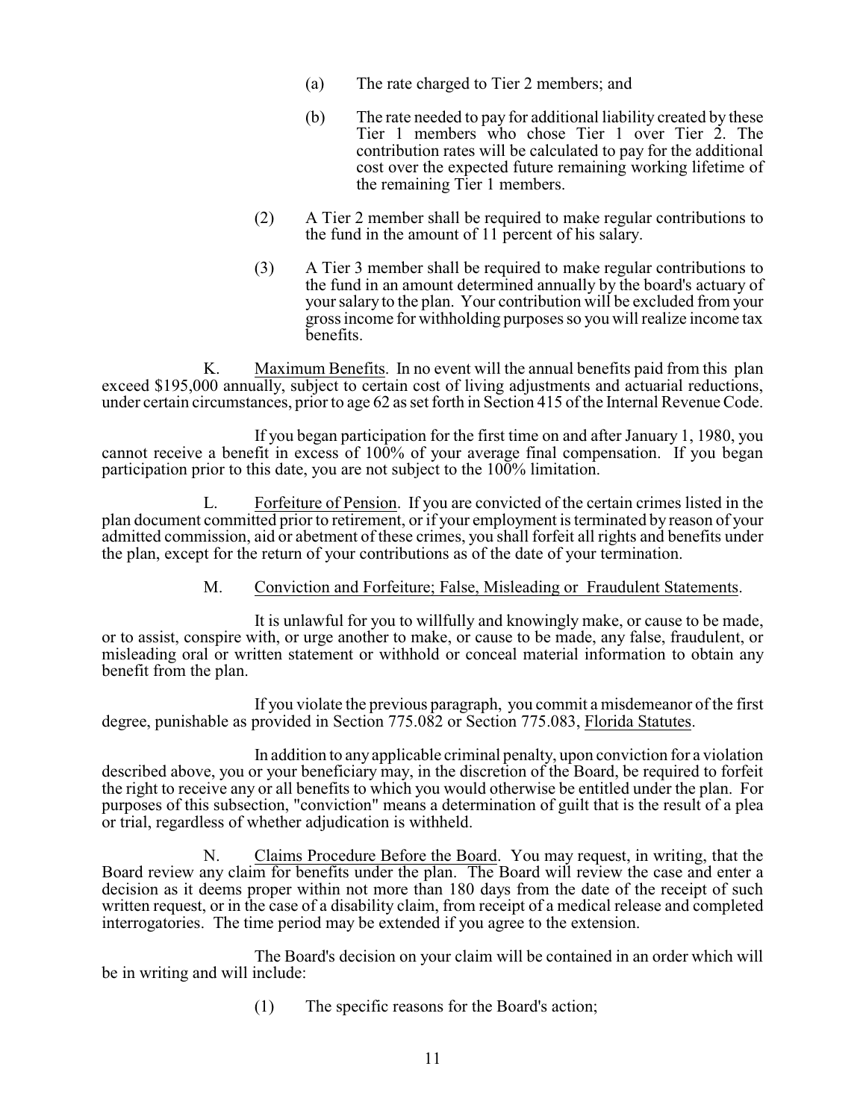- (a) The rate charged to Tier 2 members; and
- (b) The rate needed to pay for additional liability created by these Tier 1 members who chose Tier 1 over Tier 2. The contribution rates will be calculated to pay for the additional cost over the expected future remaining working lifetime of the remaining Tier 1 members.
- (2) A Tier 2 member shall be required to make regular contributions to the fund in the amount of 11 percent of his salary.
- (3) A Tier 3 member shall be required to make regular contributions to the fund in an amount determined annually by the board's actuary of your salary to the plan. Your contribution will be excluded from your gross income for withholding purposes so you will realize income tax benefits.

K. Maximum Benefits. In no event will the annual benefits paid from this plan exceed \$195,000 annually, subject to certain cost of living adjustments and actuarial reductions, under certain circumstances, prior to age  $62$  as set forth in Section 415 of the Internal Revenue Code.

If you began participation for the first time on and after January 1, 1980, you cannot receive a benefit in excess of 100% of your average final compensation. If you began participation prior to this date, you are not subject to the  $100\%$  limitation.

L. Forfeiture of Pension. If you are convicted of the certain crimes listed in the plan document committed prior to retirement, or if your employment is terminated by reason of your admitted commission, aid or abetment of these crimes, you shall forfeit all rights and benefits under the plan, except for the return of your contributions as of the date of your termination.

### M. Conviction and Forfeiture; False, Misleading or Fraudulent Statements.

It is unlawful for you to willfully and knowingly make, or cause to be made, or to assist, conspire with, or urge another to make, or cause to be made, any false, fraudulent, or misleading oral or written statement or withhold or conceal material information to obtain any benefit from the plan.

If you violate the previous paragraph, you commit a misdemeanor of the first degree, punishable as provided in Section 775.082 or Section 775.083, Florida Statutes.

In addition to any applicable criminal penalty, upon conviction for a violation described above, you or your beneficiary may, in the discretion of the Board, be required to forfeit the right to receive any or all benefits to which you would otherwise be entitled under the plan. For purposes of this subsection, "conviction" means a determination of guilt that is the result of a plea or trial, regardless of whether adjudication is withheld.

N. Claims Procedure Before the Board. You may request, in writing, that the Board review any claim for benefits under the plan. The Board will review the case and enter a decision as it deems proper within not more than 180 days from the date of the receipt of such written request, or in the case of a disability claim, from receipt of a medical release and completed interrogatories. The time period may be extended if you agree to the extension.

The Board's decision on your claim will be contained in an order which will be in writing and will include:

(1) The specific reasons for the Board's action;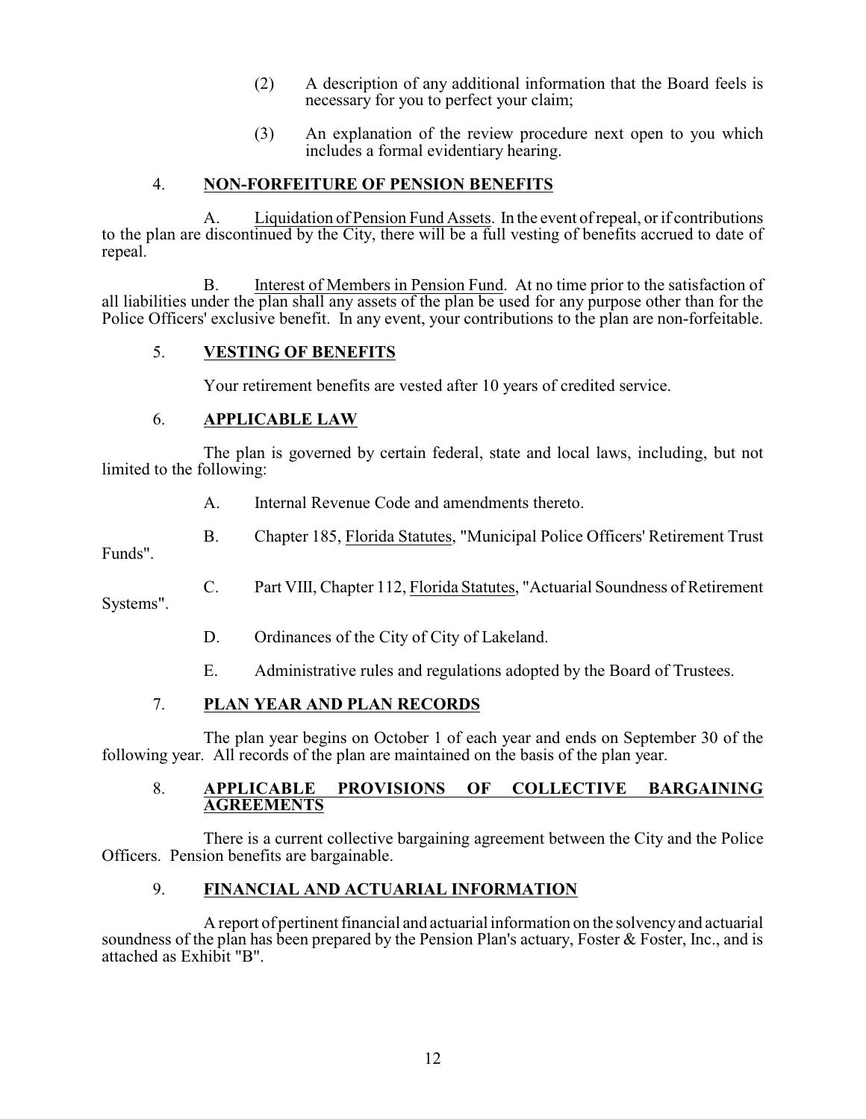- (2) A description of any additional information that the Board feels is necessary for you to perfect your claim;
- (3) An explanation of the review procedure next open to you which includes a formal evidentiary hearing.

## 4. **NON-FORFEITURE OF PENSION BENEFITS**

A. Liquidation of Pension Fund Assets. In the event of repeal, or if contributions to the plan are discontinued by the City, there will be a full vesting of benefits accrued to date of repeal.

B. Interest of Members in Pension Fund. At no time prior to the satisfaction of all liabilities under the plan shall any assets of the plan be used for any purpose other than for the Police Officers' exclusive benefit. In any event, your contributions to the plan are non-forfeitable.

## 5. **VESTING OF BENEFITS**

Your retirement benefits are vested after 10 years of credited service.

## 6. **APPLICABLE LAW**

The plan is governed by certain federal, state and local laws, including, but not limited to the following:

- A. Internal Revenue Code and amendments thereto.
- B. Chapter 185, Florida Statutes, "Municipal Police Officers' Retirement Trust

Funds".

- C. Part VIII, Chapter 112, Florida Statutes, "Actuarial Soundness of Retirement Systems".
	- D. Ordinances of the City of City of Lakeland.
	- E. Administrative rules and regulations adopted by the Board of Trustees.

### 7. **PLAN YEAR AND PLAN RECORDS**

The plan year begins on October 1 of each year and ends on September 30 of the following year. All records of the plan are maintained on the basis of the plan year.

#### 8. **APPLICABLE PROVISIONS OF COLLECTIVE BARGAINING AGREEMENTS**

There is a current collective bargaining agreement between the City and the Police Officers. Pension benefits are bargainable.

## 9. **FINANCIAL AND ACTUARIAL INFORMATION**

A report of pertinent financial and actuarial information on the solvencyand actuarial soundness of the plan has been prepared by the Pension Plan's actuary, Foster & Foster, Inc., and is attached as Exhibit "B".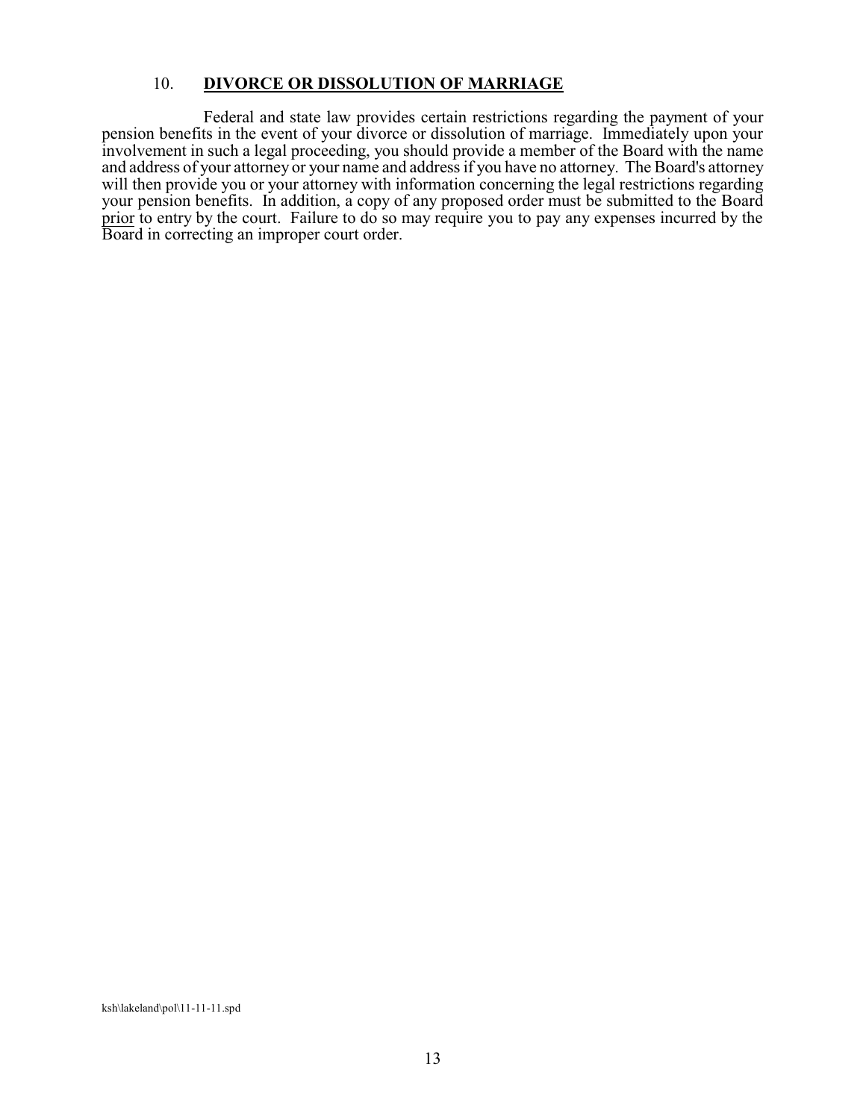#### 10. **DIVORCE OR DISSOLUTION OF MARRIAGE**

Federal and state law provides certain restrictions regarding the payment of your pension benefits in the event of your divorce or dissolution of marriage. Immediately upon your involvement in such a legal proceeding, you should provide a member of the Board with the name and address of your attorney or your name and address if you have no attorney. The Board's attorney will then provide you or your attorney with information concerning the legal restrictions regarding your pension benefits. In addition, a copy of any proposed order must be submitted to the Board prior to entry by the court. Failure to do so may require you to pay any expenses incurred by the Board in correcting an improper court order.